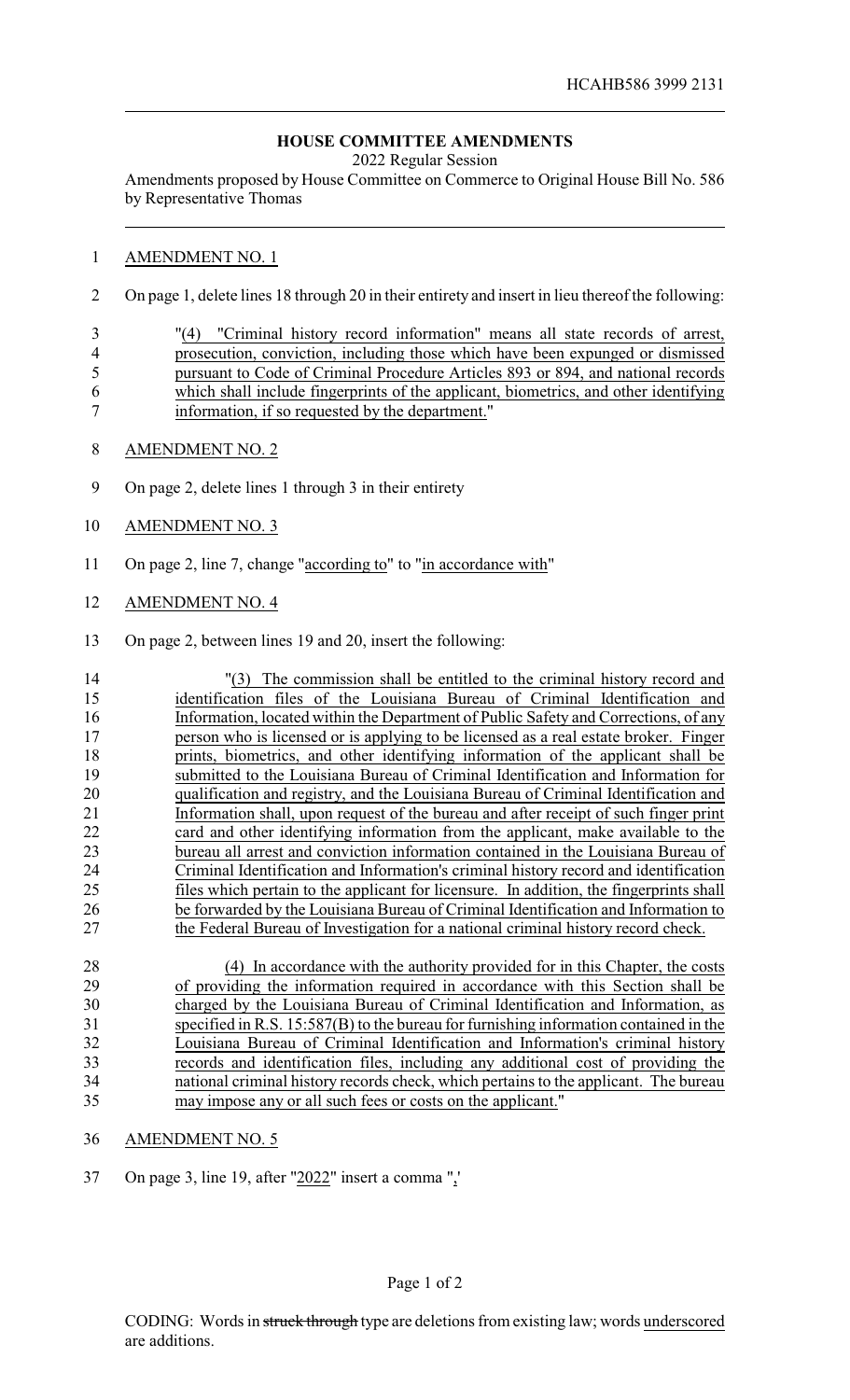## **HOUSE COMMITTEE AMENDMENTS**

2022 Regular Session

Amendments proposed by House Committee on Commerce to Original House Bill No. 586 by Representative Thomas

## AMENDMENT NO. 1

On page 1, delete lines 18 through 20 in their entirety and insert in lieu thereof the following:

 "(4) "Criminal history record information" means all state records of arrest, prosecution, conviction, including those which have been expunged or dismissed pursuant to Code of Criminal Procedure Articles 893 or 894, and national records which shall include fingerprints of the applicant, biometrics, and other identifying information, if so requested by the department."

- AMENDMENT NO. 2
- On page 2, delete lines 1 through 3 in their entirety
- AMENDMENT NO. 3
- On page 2, line 7, change "according to" to "in accordance with"
- AMENDMENT NO. 4
- On page 2, between lines 19 and 20, insert the following:

| 14       | "(3) The commission shall be entitled to the criminal history record and                |
|----------|-----------------------------------------------------------------------------------------|
| 15       | identification files of the Louisiana Bureau of Criminal Identification and             |
| 16       | Information, located within the Department of Public Safety and Corrections, of any     |
| 17       | person who is licensed or is applying to be licensed as a real estate broker. Finger    |
| 18       | prints, biometrics, and other identifying information of the applicant shall be         |
| 19       | submitted to the Louisiana Bureau of Criminal Identification and Information for        |
| 20       | qualification and registry, and the Louisiana Bureau of Criminal Identification and     |
| 21       | Information shall, upon request of the bureau and after receipt of such finger print    |
| 22       | card and other identifying information from the applicant, make available to the        |
| 23       | bureau all arrest and conviction information contained in the Louisiana Bureau of       |
| 24       | Criminal Identification and Information's criminal history record and identification    |
| 25       | files which pertain to the applicant for licensure. In addition, the fingerprints shall |
| 26       | be forwarded by the Louisiana Bureau of Criminal Identification and Information to      |
| 27       | the Federal Bureau of Investigation for a national criminal history record check.       |
|          |                                                                                         |
| 28       | In accordance with the authority provided for in this Chapter, the costs<br>(4)         |
| 29       | of providing the information required in accordance with this Section shall be          |
| $\Omega$ |                                                                                         |

 charged by the Louisiana Bureau of Criminal Identification and Information, as specified in R.S. 15:587(B) to the bureau for furnishing information contained in the Louisiana Bureau of Criminal Identification and Information's criminal history records and identification files, including any additional cost of providing the national criminal history records check, which pertains to the applicant. The bureau may impose any or all such fees or costs on the applicant."

- AMENDMENT NO. 5
- On page 3, line 19, after "2022" insert a comma ",'